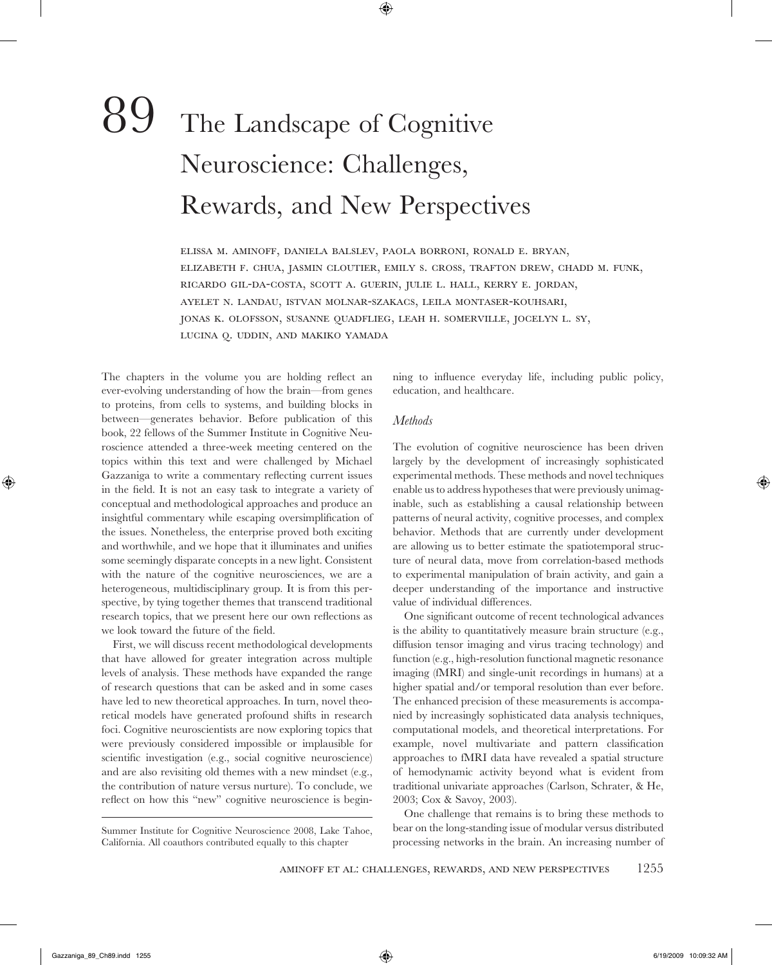# The Landscape of Cognitive Neuroscience: Challenges, Rewards, and New Perspectives

elissa m. aminoff, daniela balslev, paola borroni, ronald e. bryan, elizabeth f. chua, jasmin cloutier, emily s. cross, trafton drew, chadd m. funk, ricardo gil-da-costa, scott a. guerin, julie l. hall, kerry e. jordan, ayelet n. landau, istvan molnar-szakacs, leila montaser-kouhsari, jonas k. olofsson, susanne quadflieg, leah h. somerville, jocelyn l. sy, lucina q. uddin, and makiko yamada

 $\textcolor{black}{\textcircled{\footnotesize{1}}}$ 

The chapters in the volume you are holding reflect an ever-evolving understanding of how the brain—from genes to proteins, from cells to systems, and building blocks in between—generates behavior. Before publication of this book, 22 fellows of the Summer Institute in Cognitive Neuroscience attended a three-week meeting centered on the topics within this text and were challenged by Michael Gazzaniga to write a commentary reflecting current issues in the field. It is not an easy task to integrate a variety of conceptual and methodological approaches and produce an insightful commentary while escaping oversimplification of the issues. Nonetheless, the enterprise proved both exciting and worthwhile, and we hope that it illuminates and unifies some seemingly disparate concepts in a new light. Consistent with the nature of the cognitive neurosciences, we are a heterogeneous, multidisciplinary group. It is from this perspective, by tying together themes that transcend traditional research topics, that we present here our own reflections as we look toward the future of the field.

First, we will discuss recent methodological developments that have allowed for greater integration across multiple levels of analysis. These methods have expanded the range of research questions that can be asked and in some cases have led to new theoretical approaches. In turn, novel theoretical models have generated profound shifts in research foci. Cognitive neuroscientists are now exploring topics that were previously considered impossible or implausible for scientific investigation (e.g., social cognitive neuroscience) and are also revisiting old themes with a new mindset (e.g., the contribution of nature versus nurture). To conclude, we reflect on how this "new" cognitive neuroscience is beginning to influence everyday life, including public policy, education, and healthcare.

#### *Methods*

The evolution of cognitive neuroscience has been driven largely by the development of increasingly sophisticated experimental methods. These methods and novel techniques enable us to address hypotheses that were previously unimaginable, such as establishing a causal relationship between patterns of neural activity, cognitive processes, and complex behavior. Methods that are currently under development are allowing us to better estimate the spatiotemporal structure of neural data, move from correlation-based methods to experimental manipulation of brain activity, and gain a deeper understanding of the importance and instructive value of individual differences.

One significant outcome of recent technological advances is the ability to quantitatively measure brain structure (e.g., diffusion tensor imaging and virus tracing technology) and function (e.g., high-resolution functional magnetic resonance imaging (fMRI) and single-unit recordings in humans) at a higher spatial and/or temporal resolution than ever before. The enhanced precision of these measurements is accompanied by increasingly sophisticated data analysis techniques, computational models, and theoretical interpretations. For example, novel multivariate and pattern classification approaches to fMRI data have revealed a spatial structure of hemodynamic activity beyond what is evident from traditional univariate approaches (Carlson, Schrater, & He, 2003; Cox & Savoy, 2003).

One challenge that remains is to bring these methods to bear on the long-standing issue of modular versus distributed processing networks in the brain. An increasing number of

Summer Institute for Cognitive Neuroscience 2008, Lake Tahoe, California. All coauthors contributed equally to this chapter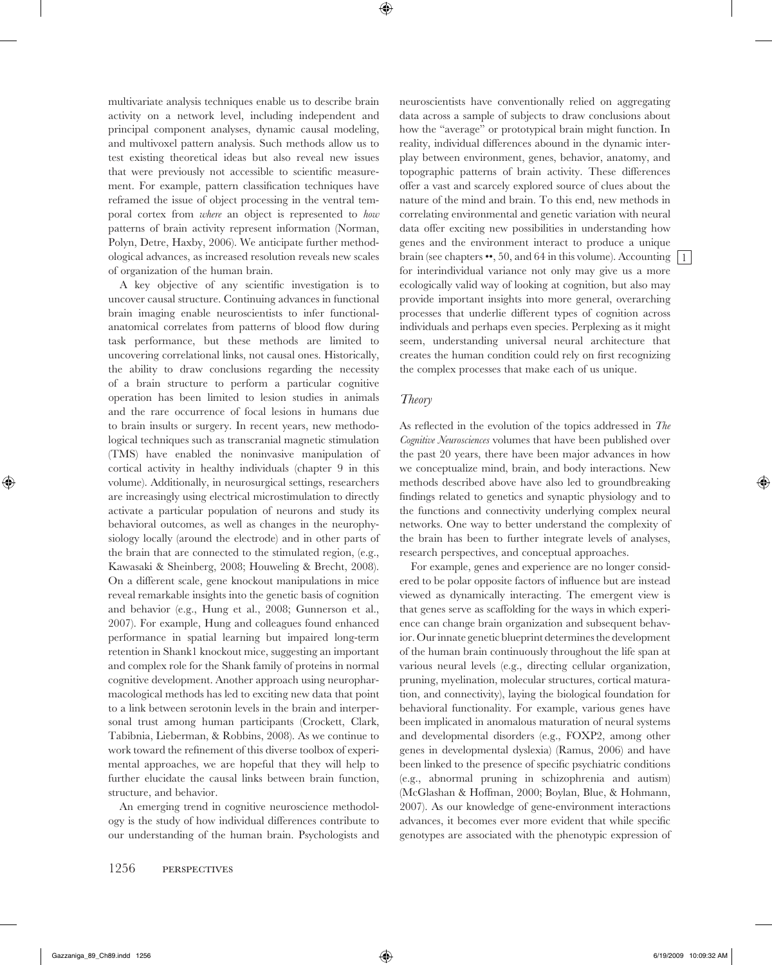multivariate analysis techniques enable us to describe brain activity on a network level, including independent and principal component analyses, dynamic causal modeling, and multivoxel pattern analysis. Such methods allow us to test existing theoretical ideas but also reveal new issues that were previously not accessible to scientific measurement. For example, pattern classification techniques have reframed the issue of object processing in the ventral temporal cortex from *where* an object is represented to *how* patterns of brain activity represent information (Norman, Polyn, Detre, Haxby, 2006). We anticipate further methodological advances, as increased resolution reveals new scales of organization of the human brain.

A key objective of any scientific investigation is to uncover causal structure. Continuing advances in functional brain imaging enable neuroscientists to infer functionalanatomical correlates from patterns of blood flow during task performance, but these methods are limited to uncovering correlational links, not causal ones. Historically, the ability to draw conclusions regarding the necessity of a brain structure to perform a particular cognitive operation has been limited to lesion studies in animals and the rare occurrence of focal lesions in humans due to brain insults or surgery. In recent years, new methodological techniques such as transcranial magnetic stimulation (TMS) have enabled the noninvasive manipulation of cortical activity in healthy individuals (chapter 9 in this volume). Additionally, in neurosurgical settings, researchers are increasingly using electrical microstimulation to directly activate a particular population of neurons and study its behavioral outcomes, as well as changes in the neurophysiology locally (around the electrode) and in other parts of the brain that are connected to the stimulated region, (e.g., Kawasaki & Sheinberg, 2008; Houweling & Brecht, 2008). On a different scale, gene knockout manipulations in mice reveal remarkable insights into the genetic basis of cognition and behavior (e.g., Hung et al., 2008; Gunnerson et al., 2007). For example, Hung and colleagues found enhanced performance in spatial learning but impaired long-term retention in Shank1 knockout mice, suggesting an important and complex role for the Shank family of proteins in normal cognitive development. Another approach using neuropharmacological methods has led to exciting new data that point to a link between serotonin levels in the brain and interpersonal trust among human participants (Crockett, Clark, Tabibnia, Lieberman, & Robbins, 2008). As we continue to work toward the refinement of this diverse toolbox of experimental approaches, we are hopeful that they will help to further elucidate the causal links between brain function, structure, and behavior.

An emerging trend in cognitive neuroscience methodology is the study of how individual differences contribute to our understanding of the human brain. Psychologists and

### 1256 PERSPECTIVES

neuroscientists have conventionally relied on aggregating data across a sample of subjects to draw conclusions about how the "average" or prototypical brain might function. In reality, individual differences abound in the dynamic interplay between environment, genes, behavior, anatomy, and topographic patterns of brain activity. These differences offer a vast and scarcely explored source of clues about the nature of the mind and brain. To this end, new methods in correlating environmental and genetic variation with neural data offer exciting new possibilities in understanding how genes and the environment interact to produce a unique brain (see chapters ••, 50, and 64 in this volume). Accounting for interindividual variance not only may give us a more ecologically valid way of looking at cognition, but also may provide important insights into more general, overarching processes that underlie different types of cognition across individuals and perhaps even species. Perplexing as it might seem, understanding universal neural architecture that creates the human condition could rely on first recognizing the complex processes that make each of us unique.

#### *Theory*

As reflected in the evolution of the topics addressed in *The Cognitive Neurosciences* volumes that have been published over the past 20 years, there have been major advances in how we conceptualize mind, brain, and body interactions. New methods described above have also led to groundbreaking findings related to genetics and synaptic physiology and to the functions and connectivity underlying complex neural networks. One way to better understand the complexity of the brain has been to further integrate levels of analyses, research perspectives, and conceptual approaches.

For example, genes and experience are no longer considered to be polar opposite factors of influence but are instead viewed as dynamically interacting. The emergent view is that genes serve as scaffolding for the ways in which experience can change brain organization and subsequent behavior. Our innate genetic blueprint determines the development of the human brain continuously throughout the life span at various neural levels (e.g., directing cellular organization, pruning, myelination, molecular structures, cortical maturation, and connectivity), laying the biological foundation for behavioral functionality. For example, various genes have been implicated in anomalous maturation of neural systems and developmental disorders (e.g., FOXP2, among other genes in developmental dyslexia) (Ramus, 2006) and have been linked to the presence of specific psychiatric conditions (e.g., abnormal pruning in schizophrenia and autism) (McGlashan & Hoffman, 2000; Boylan, Blue, & Hohmann, 2007). As our knowledge of gene-environment interactions advances, it becomes ever more evident that while specific genotypes are associated with the phenotypic expression of

⊕

1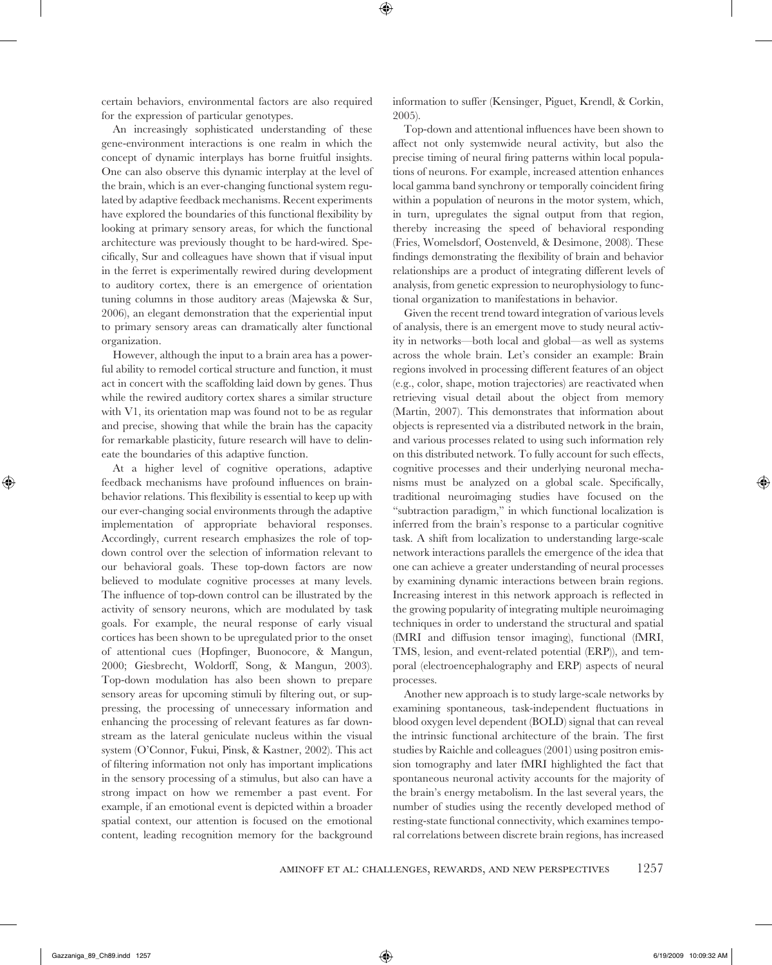certain behaviors, environmental factors are also required for the expression of particular genotypes.

An increasingly sophisticated understanding of these gene-environment interactions is one realm in which the concept of dynamic interplays has borne fruitful insights. One can also observe this dynamic interplay at the level of the brain, which is an ever-changing functional system regulated by adaptive feedback mechanisms. Recent experiments have explored the boundaries of this functional flexibility by looking at primary sensory areas, for which the functional architecture was previously thought to be hard-wired. Specifically, Sur and colleagues have shown that if visual input in the ferret is experimentally rewired during development to auditory cortex, there is an emergence of orientation tuning columns in those auditory areas (Majewska & Sur, 2006), an elegant demonstration that the experiential input to primary sensory areas can dramatically alter functional organization.

However, although the input to a brain area has a powerful ability to remodel cortical structure and function, it must act in concert with the scaffolding laid down by genes. Thus while the rewired auditory cortex shares a similar structure with V1, its orientation map was found not to be as regular and precise, showing that while the brain has the capacity for remarkable plasticity, future research will have to delineate the boundaries of this adaptive function.

At a higher level of cognitive operations, adaptive feedback mechanisms have profound influences on brainbehavior relations. This flexibility is essential to keep up with our ever-changing social environments through the adaptive implementation of appropriate behavioral responses. Accordingly, current research emphasizes the role of topdown control over the selection of information relevant to our behavioral goals. These top-down factors are now believed to modulate cognitive processes at many levels. The influence of top-down control can be illustrated by the activity of sensory neurons, which are modulated by task goals. For example, the neural response of early visual cortices has been shown to be upregulated prior to the onset of attentional cues (Hopfinger, Buonocore, & Mangun, 2000; Giesbrecht, Woldorff, Song, & Mangun, 2003). Top-down modulation has also been shown to prepare sensory areas for upcoming stimuli by filtering out, or suppressing, the processing of unnecessary information and enhancing the processing of relevant features as far downstream as the lateral geniculate nucleus within the visual system (O'Connor, Fukui, Pinsk, & Kastner, 2002). This act of filtering information not only has important implications in the sensory processing of a stimulus, but also can have a strong impact on how we remember a past event. For example, if an emotional event is depicted within a broader spatial context, our attention is focused on the emotional content, leading recognition memory for the background information to suffer (Kensinger, Piguet, Krendl, & Corkin, 2005).

Top-down and attentional influences have been shown to affect not only systemwide neural activity, but also the precise timing of neural firing patterns within local populations of neurons. For example, increased attention enhances local gamma band synchrony or temporally coincident firing within a population of neurons in the motor system, which, in turn, upregulates the signal output from that region, thereby increasing the speed of behavioral responding (Fries, Womelsdorf, Oostenveld, & Desimone, 2008). These findings demonstrating the flexibility of brain and behavior relationships are a product of integrating different levels of analysis, from genetic expression to neurophysiology to functional organization to manifestations in behavior.

Given the recent trend toward integration of various levels of analysis, there is an emergent move to study neural activity in networks—both local and global—as well as systems across the whole brain. Let's consider an example: Brain regions involved in processing different features of an object (e.g., color, shape, motion trajectories) are reactivated when retrieving visual detail about the object from memory (Martin, 2007). This demonstrates that information about objects is represented via a distributed network in the brain, and various processes related to using such information rely on this distributed network. To fully account for such effects, cognitive processes and their underlying neuronal mechanisms must be analyzed on a global scale. Specifically, traditional neuroimaging studies have focused on the "subtraction paradigm," in which functional localization is inferred from the brain's response to a particular cognitive task. A shift from localization to understanding large-scale network interactions parallels the emergence of the idea that one can achieve a greater understanding of neural processes by examining dynamic interactions between brain regions. Increasing interest in this network approach is reflected in the growing popularity of integrating multiple neuroimaging techniques in order to understand the structural and spatial (fMRI and diffusion tensor imaging), functional (fMRI, TMS, lesion, and event-related potential (ERP)), and temporal (electroencephalography and ERP) aspects of neural processes.

Another new approach is to study large-scale networks by examining spontaneous, task-independent fluctuations in blood oxygen level dependent (BOLD) signal that can reveal the intrinsic functional architecture of the brain. The first studies by Raichle and colleagues (2001) using positron emission tomography and later fMRI highlighted the fact that spontaneous neuronal activity accounts for the majority of the brain's energy metabolism. In the last several years, the number of studies using the recently developed method of resting-state functional connectivity, which examines temporal correlations between discrete brain regions, has increased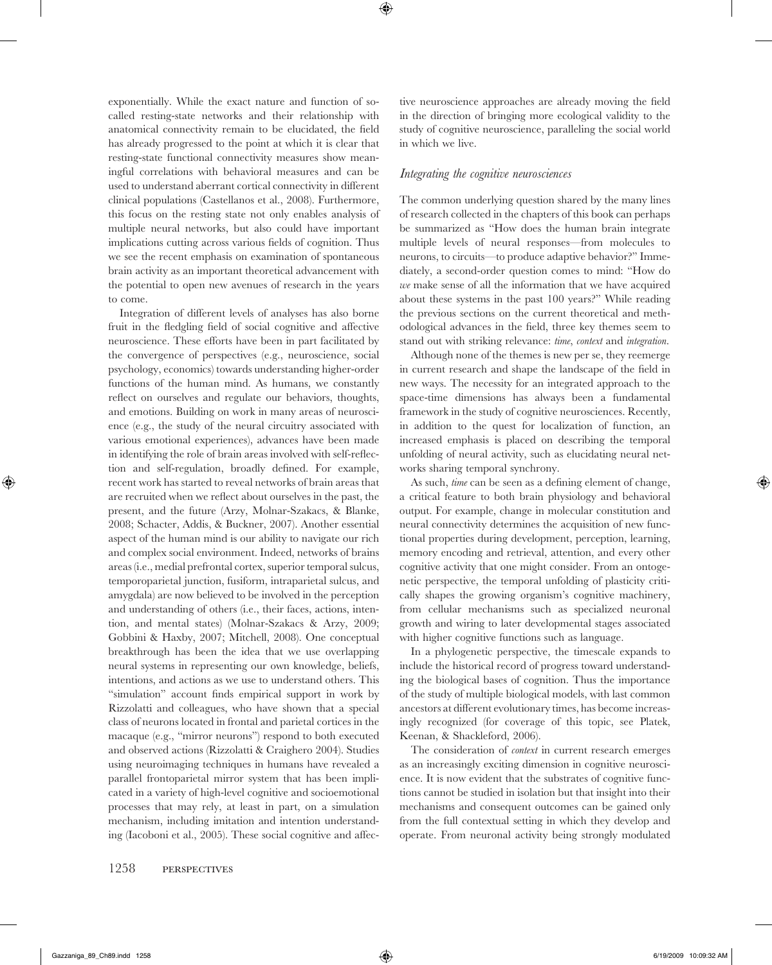exponentially. While the exact nature and function of socalled resting-state networks and their relationship with anatomical connectivity remain to be elucidated, the field has already progressed to the point at which it is clear that resting-state functional connectivity measures show meaningful correlations with behavioral measures and can be used to understand aberrant cortical connectivity in different clinical populations (Castellanos et al., 2008). Furthermore, this focus on the resting state not only enables analysis of multiple neural networks, but also could have important implications cutting across various fields of cognition. Thus we see the recent emphasis on examination of spontaneous brain activity as an important theoretical advancement with the potential to open new avenues of research in the years to come.

Integration of different levels of analyses has also borne fruit in the fledgling field of social cognitive and affective neuroscience. These efforts have been in part facilitated by the convergence of perspectives (e.g., neuroscience, social psychology, economics) towards understanding higher-order functions of the human mind. As humans, we constantly reflect on ourselves and regulate our behaviors, thoughts, and emotions. Building on work in many areas of neuroscience (e.g., the study of the neural circuitry associated with various emotional experiences), advances have been made in identifying the role of brain areas involved with self-reflection and self-regulation, broadly defined. For example, recent work has started to reveal networks of brain areas that are recruited when we reflect about ourselves in the past, the present, and the future (Arzy, Molnar-Szakacs, & Blanke, 2008; Schacter, Addis, & Buckner, 2007). Another essential aspect of the human mind is our ability to navigate our rich and complex social environment. Indeed, networks of brains areas (i.e., medial prefrontal cortex, superior temporal sulcus, temporoparietal junction, fusiform, intraparietal sulcus, and amygdala) are now believed to be involved in the perception and understanding of others (i.e., their faces, actions, intention, and mental states) (Molnar-Szakacs & Arzy, 2009; Gobbini & Haxby, 2007; Mitchell, 2008). One conceptual breakthrough has been the idea that we use overlapping neural systems in representing our own knowledge, beliefs, intentions, and actions as we use to understand others. This "simulation" account finds empirical support in work by Rizzolatti and colleagues, who have shown that a special class of neurons located in frontal and parietal cortices in the macaque (e.g., "mirror neurons") respond to both executed and observed actions (Rizzolatti & Craighero 2004). Studies using neuroimaging techniques in humans have revealed a parallel frontoparietal mirror system that has been implicated in a variety of high-level cognitive and socioemotional processes that may rely, at least in part, on a simulation mechanism, including imitation and intention understanding (Iacoboni et al., 2005). These social cognitive and affective neuroscience approaches are already moving the field in the direction of bringing more ecological validity to the study of cognitive neuroscience, paralleling the social world in which we live.

#### *Integrating the cognitive neurosciences*

The common underlying question shared by the many lines of research collected in the chapters of this book can perhaps be summarized as "How does the human brain integrate multiple levels of neural responses—from molecules to neurons, to circuits—to produce adaptive behavior?" Immediately, a second-order question comes to mind: "How do *we* make sense of all the information that we have acquired about these systems in the past 100 years?" While reading the previous sections on the current theoretical and methodological advances in the field, three key themes seem to stand out with striking relevance: *time*, *context* and *integration*.

Although none of the themes is new per se, they reemerge in current research and shape the landscape of the field in new ways. The necessity for an integrated approach to the space-time dimensions has always been a fundamental framework in the study of cognitive neurosciences. Recently, in addition to the quest for localization of function, an increased emphasis is placed on describing the temporal unfolding of neural activity, such as elucidating neural networks sharing temporal synchrony.

As such, *time* can be seen as a defining element of change, a critical feature to both brain physiology and behavioral output. For example, change in molecular constitution and neural connectivity determines the acquisition of new functional properties during development, perception, learning, memory encoding and retrieval, attention, and every other cognitive activity that one might consider. From an ontogenetic perspective, the temporal unfolding of plasticity critically shapes the growing organism's cognitive machinery, from cellular mechanisms such as specialized neuronal growth and wiring to later developmental stages associated with higher cognitive functions such as language.

In a phylogenetic perspective, the timescale expands to include the historical record of progress toward understanding the biological bases of cognition. Thus the importance of the study of multiple biological models, with last common ancestors at different evolutionary times, has become increasingly recognized (for coverage of this topic, see Platek, Keenan, & Shackleford, 2006).

The consideration of *context* in current research emerges as an increasingly exciting dimension in cognitive neuroscience. It is now evident that the substrates of cognitive functions cannot be studied in isolation but that insight into their mechanisms and consequent outcomes can be gained only from the full contextual setting in which they develop and operate. From neuronal activity being strongly modulated

#### 1258 PERSPECTIVES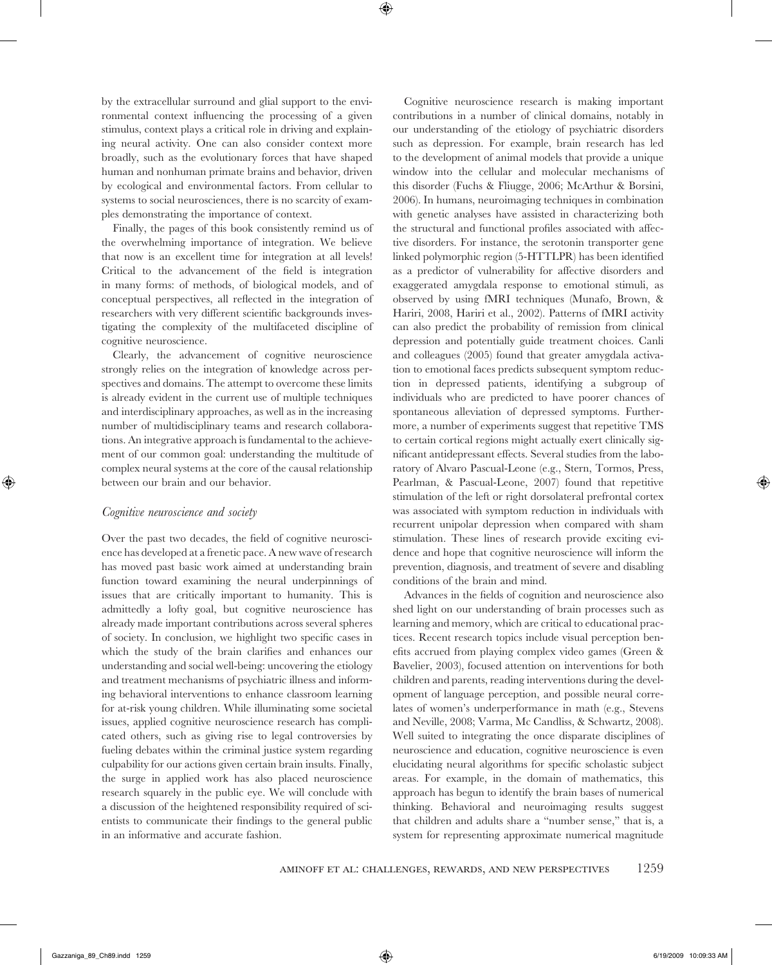by the extracellular surround and glial support to the environmental context influencing the processing of a given stimulus, context plays a critical role in driving and explaining neural activity. One can also consider context more broadly, such as the evolutionary forces that have shaped human and nonhuman primate brains and behavior, driven by ecological and environmental factors. From cellular to systems to social neurosciences, there is no scarcity of examples demonstrating the importance of context.

Finally, the pages of this book consistently remind us of the overwhelming importance of integration. We believe that now is an excellent time for integration at all levels! Critical to the advancement of the field is integration in many forms: of methods, of biological models, and of conceptual perspectives, all reflected in the integration of researchers with very different scientific backgrounds investigating the complexity of the multifaceted discipline of cognitive neuroscience.

Clearly, the advancement of cognitive neuroscience strongly relies on the integration of knowledge across perspectives and domains. The attempt to overcome these limits is already evident in the current use of multiple techniques and interdisciplinary approaches, as well as in the increasing number of multidisciplinary teams and research collaborations. An integrative approach is fundamental to the achievement of our common goal: understanding the multitude of complex neural systems at the core of the causal relationship between our brain and our behavior.

## *Cognitive neuroscience and society*

Over the past two decades, the field of cognitive neuroscience has developed at a frenetic pace. A new wave ofresearch has moved past basic work aimed at understanding brain function toward examining the neural underpinnings of issues that are critically important to humanity. This is admittedly a lofty goal, but cognitive neuroscience has already made important contributions across several spheres of society. In conclusion, we highlight two specific cases in which the study of the brain clarifies and enhances our understanding and social well-being: uncovering the etiology and treatment mechanisms of psychiatric illness and informing behavioral interventions to enhance classroom learning for at-risk young children. While illuminating some societal issues, applied cognitive neuroscience research has complicated others, such as giving rise to legal controversies by fueling debates within the criminal justice system regarding culpability for our actions given certain brain insults. Finally, the surge in applied work has also placed neuroscience research squarely in the public eye. We will conclude with a discussion of the heightened responsibility required of scientists to communicate their findings to the general public in an informative and accurate fashion.

Cognitive neuroscience research is making important contributions in a number of clinical domains, notably in our understanding of the etiology of psychiatric disorders such as depression. For example, brain research has led to the development of animal models that provide a unique window into the cellular and molecular mechanisms of this disorder (Fuchs & Fliugge, 2006; McArthur & Borsini, 2006). In humans, neuroimaging techniques in combination with genetic analyses have assisted in characterizing both the structural and functional profiles associated with affective disorders. For instance, the serotonin transporter gene linked polymorphic region (5-HTTLPR) has been identified as a predictor of vulnerability for affective disorders and exaggerated amygdala response to emotional stimuli, as observed by using fMRI techniques (Munafo, Brown, & Hariri, 2008, Hariri et al., 2002). Patterns of fMRI activity can also predict the probability of remission from clinical depression and potentially guide treatment choices. Canli and colleagues (2005) found that greater amygdala activation to emotional faces predicts subsequent symptom reduction in depressed patients, identifying a subgroup of individuals who are predicted to have poorer chances of spontaneous alleviation of depressed symptoms. Furthermore, a number of experiments suggest that repetitive TMS to certain cortical regions might actually exert clinically significant antidepressant effects. Several studies from the laboratory of Alvaro Pascual-Leone (e.g., Stern, Tormos, Press, Pearlman, & Pascual-Leone, 2007) found that repetitive stimulation of the left or right dorsolateral prefrontal cortex was associated with symptom reduction in individuals with recurrent unipolar depression when compared with sham stimulation. These lines of research provide exciting evidence and hope that cognitive neuroscience will inform the prevention, diagnosis, and treatment of severe and disabling conditions of the brain and mind.

Advances in the fields of cognition and neuroscience also shed light on our understanding of brain processes such as learning and memory, which are critical to educational practices. Recent research topics include visual perception benefits accrued from playing complex video games (Green & Bavelier, 2003), focused attention on interventions for both children and parents, reading interventions during the development of language perception, and possible neural correlates of women's underperformance in math (e.g., Stevens and Neville, 2008; Varma, Mc Candliss, & Schwartz, 2008). Well suited to integrating the once disparate disciplines of neuroscience and education, cognitive neuroscience is even elucidating neural algorithms for specific scholastic subject areas. For example, in the domain of mathematics, this approach has begun to identify the brain bases of numerical thinking. Behavioral and neuroimaging results suggest that children and adults share a "number sense," that is, a system for representing approximate numerical magnitude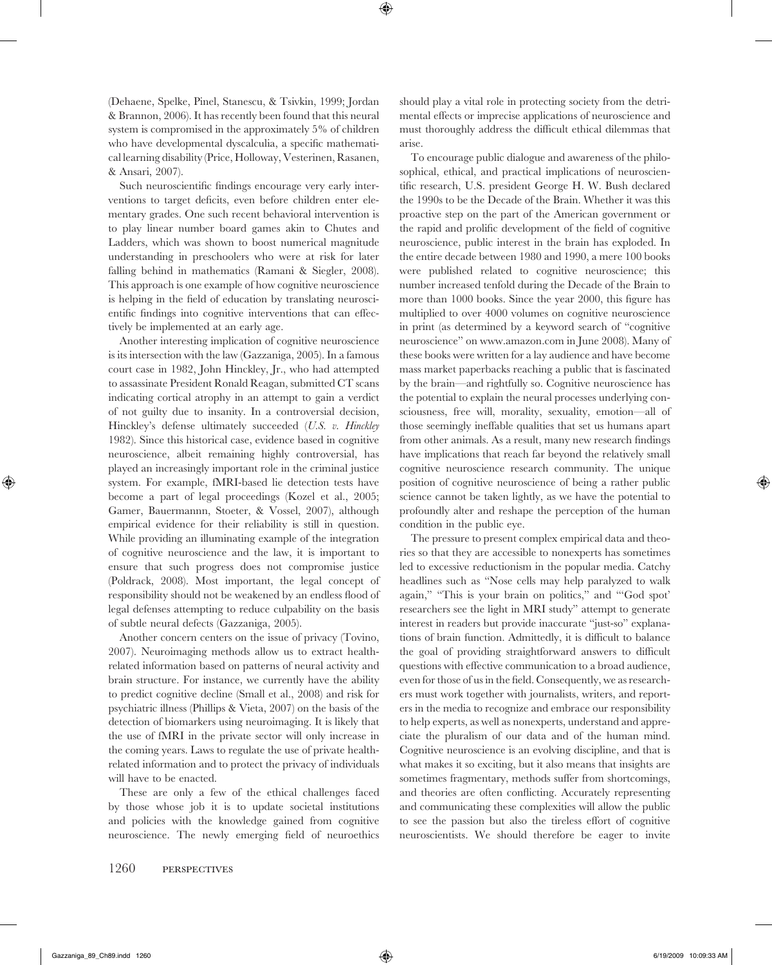(Dehaene, Spelke, Pinel, Stanescu, & Tsivkin, 1999; Jordan & Brannon, 2006). It has recently been found that this neural system is compromised in the approximately 5% of children who have developmental dyscalculia, a specific mathematical learning disability (Price, Holloway, Vesterinen, Rasanen, & Ansari, 2007).

Such neuroscientific findings encourage very early interventions to target deficits, even before children enter elementary grades. One such recent behavioral intervention is to play linear number board games akin to Chutes and Ladders, which was shown to boost numerical magnitude understanding in preschoolers who were at risk for later falling behind in mathematics (Ramani & Siegler, 2008). This approach is one example of how cognitive neuroscience is helping in the field of education by translating neuroscientific findings into cognitive interventions that can effectively be implemented at an early age.

Another interesting implication of cognitive neuroscience is its intersection with the law (Gazzaniga, 2005). In a famous court case in 1982, John Hinckley, Jr., who had attempted to assassinate President Ronald Reagan, submitted CT scans indicating cortical atrophy in an attempt to gain a verdict of not guilty due to insanity. In a controversial decision, Hinckley's defense ultimately succeeded (*U.S. v. Hinckley* 1982). Since this historical case, evidence based in cognitive neuroscience, albeit remaining highly controversial, has played an increasingly important role in the criminal justice system. For example, fMRI-based lie detection tests have become a part of legal proceedings (Kozel et al., 2005; Gamer, Bauermannn, Stoeter, & Vossel, 2007), although empirical evidence for their reliability is still in question. While providing an illuminating example of the integration of cognitive neuroscience and the law, it is important to ensure that such progress does not compromise justice (Poldrack, 2008). Most important, the legal concept of responsibility should not be weakened by an endless flood of legal defenses attempting to reduce culpability on the basis of subtle neural defects (Gazzaniga, 2005).

Another concern centers on the issue of privacy (Tovino, 2007). Neuroimaging methods allow us to extract healthrelated information based on patterns of neural activity and brain structure. For instance, we currently have the ability to predict cognitive decline (Small et al., 2008) and risk for psychiatric illness (Phillips & Vieta, 2007) on the basis of the detection of biomarkers using neuroimaging. It is likely that the use of fMRI in the private sector will only increase in the coming years. Laws to regulate the use of private healthrelated information and to protect the privacy of individuals will have to be enacted.

These are only a few of the ethical challenges faced by those whose job it is to update societal institutions and policies with the knowledge gained from cognitive neuroscience. The newly emerging field of neuroethics should play a vital role in protecting society from the detrimental effects or imprecise applications of neuroscience and must thoroughly address the difficult ethical dilemmas that arise.

To encourage public dialogue and awareness of the philosophical, ethical, and practical implications of neuroscientific research, U.S. president George H. W. Bush declared the 1990s to be the Decade of the Brain. Whether it was this proactive step on the part of the American government or the rapid and prolific development of the field of cognitive neuroscience, public interest in the brain has exploded. In the entire decade between 1980 and 1990, a mere 100 books were published related to cognitive neuroscience; this number increased tenfold during the Decade of the Brain to more than 1000 books. Since the year 2000, this figure has multiplied to over 4000 volumes on cognitive neuroscience in print (as determined by a keyword search of "cognitive neuroscience" on www.amazon.com in June 2008). Many of these books were written for a lay audience and have become mass market paperbacks reaching a public that is fascinated by the brain—and rightfully so. Cognitive neuroscience has the potential to explain the neural processes underlying consciousness, free will, morality, sexuality, emotion—all of those seemingly ineffable qualities that set us humans apart from other animals. As a result, many new research findings have implications that reach far beyond the relatively small cognitive neuroscience research community. The unique position of cognitive neuroscience of being a rather public science cannot be taken lightly, as we have the potential to profoundly alter and reshape the perception of the human condition in the public eye.

The pressure to present complex empirical data and theories so that they are accessible to nonexperts has sometimes led to excessive reductionism in the popular media. Catchy headlines such as "Nose cells may help paralyzed to walk again," "This is your brain on politics," and "'God spot' researchers see the light in MRI study" attempt to generate interest in readers but provide inaccurate "just-so" explanations of brain function. Admittedly, it is difficult to balance the goal of providing straightforward answers to difficult questions with effective communication to a broad audience, even for those of us in the field. Consequently, we as researchers must work together with journalists, writers, and reporters in the media to recognize and embrace our responsibility to help experts, as well as nonexperts, understand and appreciate the pluralism of our data and of the human mind. Cognitive neuroscience is an evolving discipline, and that is what makes it so exciting, but it also means that insights are sometimes fragmentary, methods suffer from shortcomings, and theories are often conflicting. Accurately representing and communicating these complexities will allow the public to see the passion but also the tireless effort of cognitive neuroscientists. We should therefore be eager to invite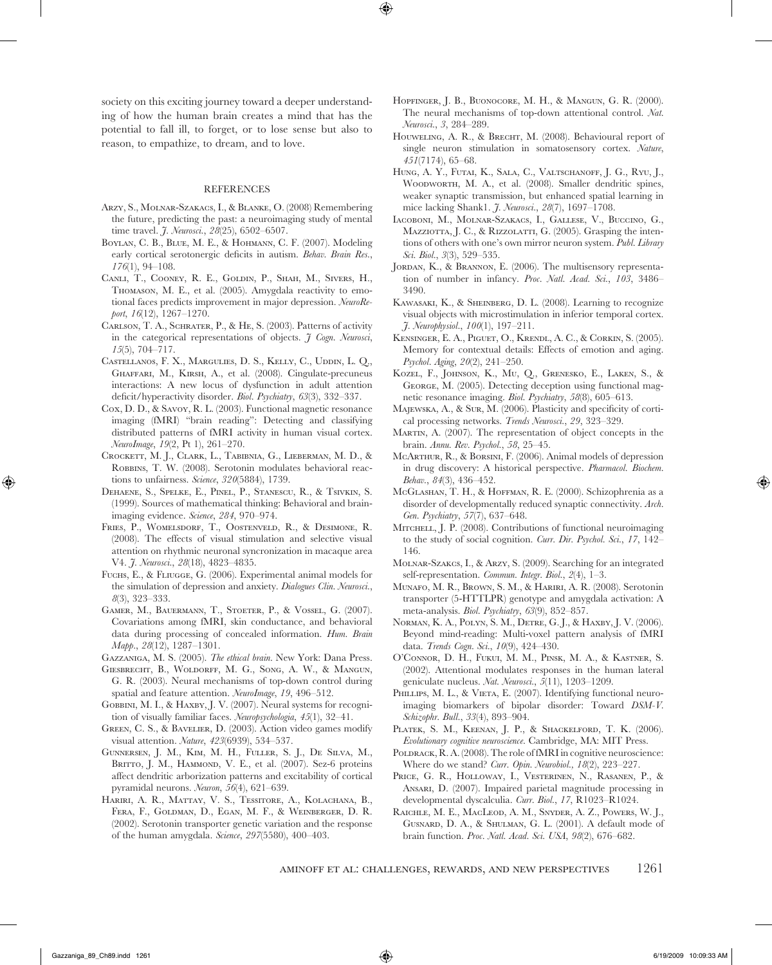society on this exciting journey toward a deeper understanding of how the human brain creates a mind that has the potential to fall ill, to forget, or to lose sense but also to reason, to empathize, to dream, and to love.

#### **REFERENCES**

- Arzy, S., Molnar-Szakacs, I., & Blanke, O. (2008) Remembering the future, predicting the past: a neuroimaging study of mental time travel. *J. Neurosci.*, *28*(25), 6502–6507.
- BOYLAN, C. B., BLUE, M. E., & HOHMANN, C. F. (2007). Modeling early cortical serotonergic deficits in autism. *Behav. Brain Res.*, *176*(1), 94–108.
- Canli, T., Cooney, R. E., Goldin, P., Shah, M., Sivers, H., Thomason, M. E., et al. (2005). Amygdala reactivity to emotional faces predicts improvement in major depression*. NeuroReport*, *16*(12), 1267–1270.
- Carlson, T. A., Schrater, P., & He, S. (2003). Patterns of activity in the categorical representations of objects. *J Cogn. Neurosci*, *15*(5), 704–717.
- Castellanos, F. X., Margulies, D. S., Kelly, C., Uddin, L. Q., Ghaffari, M., Kirsh, A., et al. (2008). Cingulate-precuneus interactions: A new locus of dysfunction in adult attention deficit/hyperactivity disorder. *Biol. Psychiatry*, *63*(3), 332–337.
- Cox, D. D., & Savoy, R. L. (2003). Functional magnetic resonance imaging (fMRI) "brain reading": Detecting and classifying distributed patterns of fMRI activity in human visual cortex. *NeuroImage*, *19*(2, Pt 1), 261–270.
- Crockett, M. J., Clark, L., Tabibnia, G., Lieberman, M. D., & ROBBINS, T. W. (2008). Serotonin modulates behavioral reactions to unfairness. *Science*, *320*(5884), 1739.
- Dehaene, S., Spelke, E., Pinel, P., Stanescu, R., & Tsivkin, S. (1999). Sources of mathematical thinking: Behavioral and brainimaging evidence. *Science*, *284*, 970–974.
- Fries, P., Womelsdorf, T., Oostenveld, R., & Desimone, R. (2008). The effects of visual stimulation and selective visual attention on rhythmic neuronal syncronization in macaque area V4. *J. Neurosci.*, *28*(18), 4823–4835.
- Fuchs, E., & Fliugge, G. (2006). Experimental animal models for the simulation of depression and anxiety. *Dialogues Clin. Neurosci.*, *8*(3), 323–333.
- Gamer, M., Bauermann, T., Stoeter, P., & Vossel, G. (2007). Covariations among fMRI, skin conductance, and behavioral data during processing of concealed information. *Hum. Brain Mapp*., *28*(12), 1287–1301.
- Gazzaniga, M. S. (2005). *The ethical brain*. New York: Dana Press.
- Giesbrecht, B., Woldorff, M. G., Song, A. W., & Mangun, G. R. (2003). Neural mechanisms of top-down control during spatial and feature attention. *NeuroImage*, *19*, 496–512.
- GOBBINI, M. I., & HAXBY, J. V. (2007). Neural systems for recognition of visually familiar faces. *Neuropsychologia*, *45*(1), 32–41.
- Green, C. S., & Bavelier, D. (2003). Action video games modify visual attention. *Nature*, *423*(6939), 534–537.
- Gunnersen, J. M., Kim, M. H., Fuller, S. J., De Silva, M., BRITTO, J. M., HAMMOND, V. E., et al. (2007). Sez-6 proteins affect dendritic arborization patterns and excitability of cortical pyramidal neurons. *Neuron*, *56*(4), 621–639.
- Hariri, A. R., Mattay, V. S., Tessitore, A., Kolachana, B., Fera, F., Goldman, D., Egan, M. F., & Weinberger, D. R. (2002). Serotonin transporter genetic variation and the response of the human amygdala. *Science*, *297*(5580), 400–403.

Hopfinger, J. B., Buonocore, M. H., & Mangun, G. R. (2000). The neural mechanisms of top-down attentional control. *Nat. Neurosci*., *3*, 284–289.

⊕

- HOUWELING, A. R., & BRECHT, M. (2008). Behavioural report of single neuron stimulation in somatosensory cortex. *Nature*, *451*(7174), 65–68.
- Hung, A. Y., Futai, K., Sala, C., Valtschanoff, J. G., Ryu, J., Woodworth, M. A., et al. (2008). Smaller dendritic spines, weaker synaptic transmission, but enhanced spatial learning in mice lacking Shank1. *J. Neurosci.*, *28*(7), 1697–1708.
- Iacoboni, M., Molnar-Szakacs, I., Gallese, V., Buccino, G., MAZZIOTTA, J. C., & RIZZOLATTI, G. (2005). Grasping the intentions of others with one's own mirror neuron system. *Publ. Library Sci. Biol.*, *3*(3), 529–535.
- JORDAN, K., & BRANNON, E. (2006). The multisensory representation of number in infancy. *Proc. Natl. Acad. Sci.*, *103*, 3486– 3490.
- KAWASAKI, K., & SHEINBERG, D. L. (2008). Learning to recognize visual objects with microstimulation in inferior temporal cortex. *J. Neurophysiol.*, *100*(1), 197–211.
- Kensinger, E. A., Piguet, O., Krendl, A. C., & Corkin, S. (2005). Memory for contextual details: Effects of emotion and aging. *Psychol. Aging*, *20*(2), 241–250.
- Kozel, F., Johnson, K., Mu, Q., Grenesko, E., Laken, S., & GEORGE, M. (2005). Detecting deception using functional magnetic resonance imaging. *Biol. Psychiatry*, *58*(8), 605–613.
- Majewska, A., & Sur, M. (2006). Plasticity and specificity of cortical processing networks. *Trends Neurosci.*, *29*, 323–329.
- Martin, A. (2007). The representation of object concepts in the brain. *Annu. Rev. Psychol.*, *58*, 25–45.
- McArthur, R., & Borsini, F. (2006). Animal models of depression in drug discovery: A historical perspective. *Pharmacol. Biochem. Behav.*, *84*(3), 436–452.
- McGlashan, T. H., & Hoffman, R. E. (2000). Schizophrenia as a disorder of developmentally reduced synaptic connectivity. *Arch. Gen. Psychiatry*, *57*(7), 637–648.
- MITCHELL, J. P. (2008). Contributions of functional neuroimaging to the study of social cognition. *Curr. Dir. Psychol. Sci.*, *17*, 142– 146.
- Molnar-Szakcs, I., & Arzy, S. (2009). Searching for an integrated self-representation. *Commun. Integr. Biol*., *2*(4), 1–3.
- Munafo, M. R., Brown, S. M., & Hariri, A. R. (2008). Serotonin transporter (5-HTTLPR) genotype and amygdala activation: A meta-analysis. *Biol. Psychiatry*, *63*(9), 852–857.
- Norman, K. A., Polyn, S. M., Detre, G. J., & Haxby, J. V. (2006). Beyond mind-reading: Multi-voxel pattern analysis of fMRI data. *Trends Cogn. Sci.*, *10*(9), 424–430.
- O'Connor, D. H., Fukui, M. M., Pinsk, M. A., & Kastner, S. (2002). Attentional modulates responses in the human lateral geniculate nucleus. *Nat. Neurosci.*, *5*(11), 1203–1209.
- PHILLIPS, M. L., & VIETA, E. (2007). Identifying functional neuroimaging biomarkers of bipolar disorder: Toward *DSM-V. Schizophr. Bull*., *33*(4), 893–904.
- Platek, S. M., Keenan, J. P., & Shackelford, T. K. (2006). *Evolutionary cognitive neuroscience.* Cambridge, MA: MIT Press.
- POLDRACK, R.A. (2008). The role of fMRI in cognitive neuroscience: Where do we stand? *Curr. Opin. Neurobiol., 18*(2), 223–227.
- Price, G. R., Holloway, I., Vesterinen, N., Rasanen, P., & Ansari, D. (2007). Impaired parietal magnitude processing in developmental dyscalculia. *Curr. Biol.*, *17*, R1023–R1024.
- Raichle, M. E., MacLeod, A. M., Snyder, A. Z., Powers, W. J., Gusnard, D. A., & Shulman, G. L. (2001). A default mode of brain function. *Proc. Natl. Acad. Sci. USA*, *98*(2), 676–682.

AMINOFF ET AL: CHALLENGES, REWARDS, AND NEW PERSPECTIVES  $1261$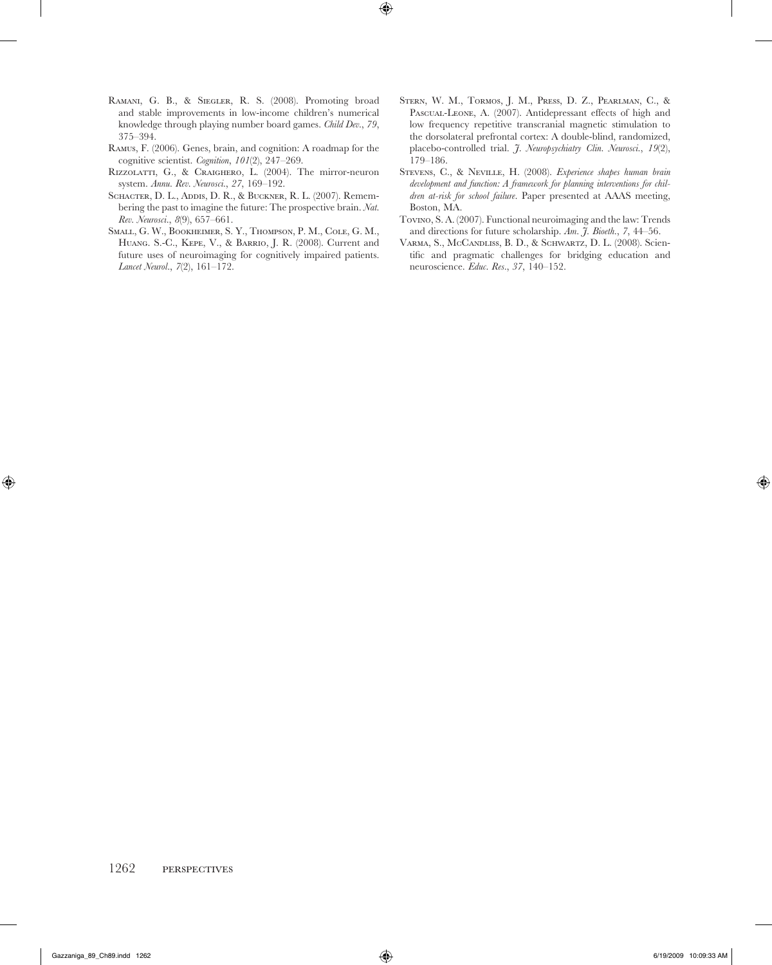Ramani, G. B., & Siegler, R. S. (2008). Promoting broad and stable improvements in low-income children's numerical knowledge through playing number board games. *Child Dev.*, *79*, 375–394.

 $\bigoplus$ 

- Ramus, F. (2006). Genes, brain, and cognition: A roadmap for the cognitive scientist. *Cognition*, *101*(2), 247–269.
- RIZZOLATTI, G., & CRAIGHERO, L. (2004). The mirror-neuron system. *Annu. Rev. Neurosci.*, *27*, 169–192.
- Schacter, D. L., Addis, D. R., & Buckner, R. L. (2007). Remembering the past to imagine the future: The prospective brain. *Nat. Rev. Neurosci.*, *8*(9), 657–661.
- Small, G. W., Bookheimer, S. Y., Thompson, P. M., Cole, G. M., Huang. S.-C., Kepe, V., & Barrio, J. R. (2008). Current and future uses of neuroimaging for cognitively impaired patients. *Lancet Neurol*., *7*(2), 161–172.
- Stern, W. M., Tormos, J. M., Press, D. Z., Pearlman, C., & PASCUAL-LEONE, A. (2007). Antidepressant effects of high and low frequency repetitive transcranial magnetic stimulation to the dorsolateral prefrontal cortex: A double-blind, randomized, placebo-controlled trial. *J. Neuropsychiatry Clin. Neurosci.*, *19*(2), 179–186.
- Stevens, C., & Neville, H. (2008). *Experience shapes human brain development and function: A framework for planning interventions for children at-risk for school failure*. Paper presented at AAAS meeting, Boston, MA.
- Tovino, S. A. (2007). Functional neuroimaging and the law: Trends and directions for future scholarship. *Am. J. Bioeth*., *7*, 44–56.
- Varma, S., McCandliss, B. D., & Schwartz, D. L. (2008). Scientific and pragmatic challenges for bridging education and neuroscience. *Educ. Res.*, *37*, 140–152.

1262 PERSPECTIVES

 $\bigoplus$